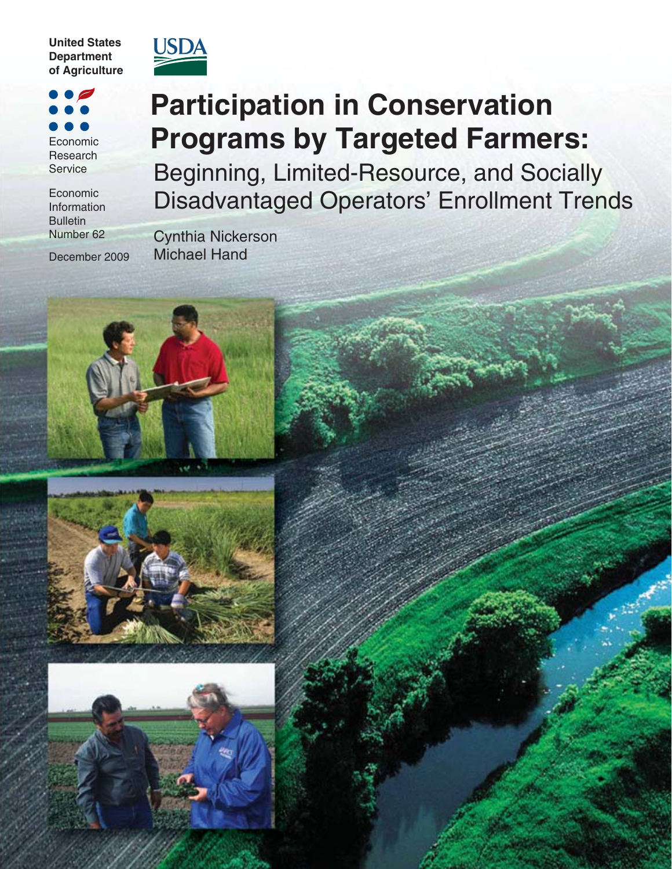**United States Department of Agriculture**



 $\overline{\phantom{a}}$ Economic Research Service

Economic Information **Bulletin** Number 62

December 2009

# **Participation in Conservation Programs by Targeted Farmers:**

Beginning, Limited-Resource, and Socially Disadvantaged Operators' Enrollment Trends

Cynthia Nickerson Michael Hand





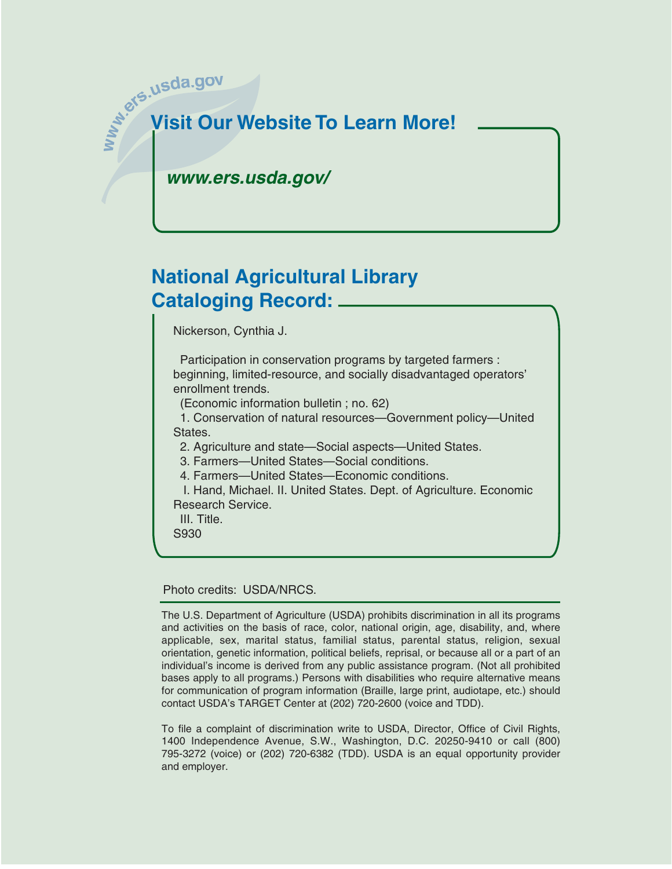# **w**<sub>2</sub> were.usda.gov **Visit Our Website To Learn More!**

*www.ers.usda.gov/*

# **National Agricultural Library Cataloging Record:**

Nickerson, Cynthia J.

 Participation in conservation programs by targeted farmers : beginning, limited-resource, and socially disadvantaged operators' enrollment trends.

(Economic information bulletin ; no. 62)

 1. Conservation of natural resources—Government policy—United States.

2. Agriculture and state—Social aspects—United States.

3. Farmers—United States—Social conditions.

4. Farmers—United States—Economic conditions.

 I. Hand, Michael. II. United States. Dept. of Agriculture. Economic Research Service.

III. Title.

S930

Photo credits: USDA/NRCS.

The U.S. Department of Agriculture (USDA) prohibits discrimination in all its programs and activities on the basis of race, color, national origin, age, disability, and, where applicable, sex, marital status, familial status, parental status, religion, sexual orientation, genetic information, political beliefs, reprisal, or because all or a part of an individual's income is derived from any public assistance program. (Not all prohibited bases apply to all programs.) Persons with disabilities who require alternative means for communication of program information (Braille, large print, audiotape, etc.) should contact USDA's TARGET Center at (202) 720-2600 (voice and TDD).

To file a complaint of discrimination write to USDA, Director, Office of Civil Rights, 1400 Independence Avenue, S.W., Washington, D.C. 20250-9410 or call (800) 795-3272 (voice) or (202) 720-6382 (TDD). USDA is an equal opportunity provider and employer.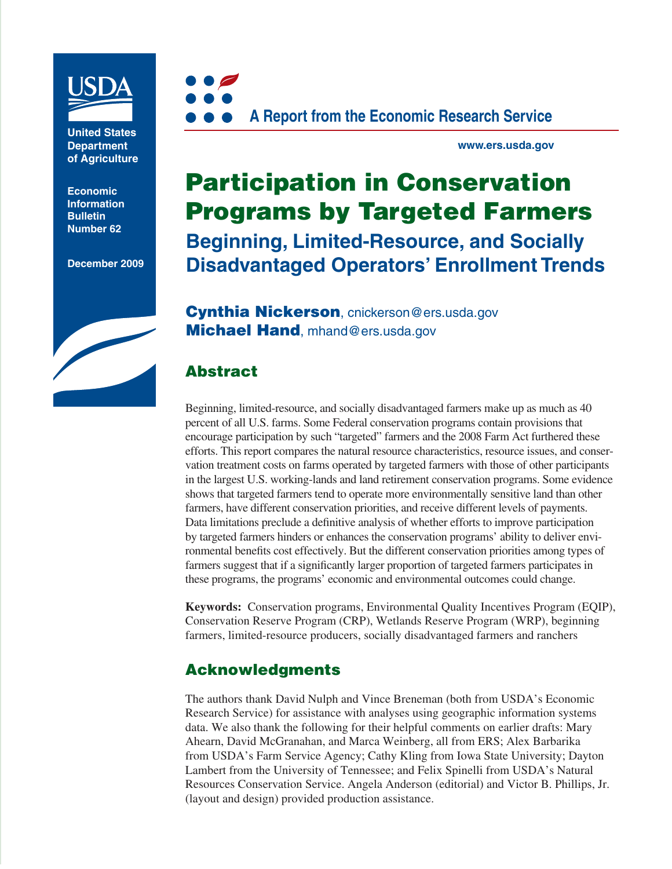

**United States Department of Agriculture**

**Economic Information Bulletin Number 62**

**December 2009**





**www.ers.usda.gov**

# **Participation in Conservation Programs by Targeted Farmers Beginning, Limited-Resource, and Socially Disadvantaged Operators' Enrollment Trends**

**Cynthia Nickerson**, cnickerson@ers.usda.gov **Michael Hand**, mhand@ers.usda.gov

# **Abstract**

Beginning, limited-resource, and socially disadvantaged farmers make up as much as 40 percent of all U.S. farms. Some Federal conservation programs contain provisions that encourage participation by such "targeted" farmers and the 2008 Farm Act furthered these efforts. This report compares the natural resource characteristics, resource issues, and conservation treatment costs on farms operated by targeted farmers with those of other participants in the largest U.S. working-lands and land retirement conservation programs. Some evidence shows that targeted farmers tend to operate more environmentally sensitive land than other farmers, have different conservation priorities, and receive different levels of payments. Data limitations preclude a definitive analysis of whether efforts to improve participation by targeted farmers hinders or enhances the conservation programs' ability to deliver environmental benefits cost effectively. But the different conservation priorities among types of farmers suggest that if a significantly larger proportion of targeted farmers participates in these programs, the programs' economic and environmental outcomes could change.

**Keywords:** Conservation programs, Environmental Quality Incentives Program (EQIP), Conservation Reserve Program (CRP), Wetlands Reserve Program (WRP), beginning farmers, limited-resource producers, socially disadvantaged farmers and ranchers

# **Acknowledgments**

The authors thank David Nulph and Vince Breneman (both from USDA's Economic Research Service) for assistance with analyses using geographic information systems data. We also thank the following for their helpful comments on earlier drafts: Mary Ahearn, David McGranahan, and Marca Weinberg, all from ERS; Alex Barbarika from USDA's Farm Service Agency; Cathy Kling from Iowa State University; Dayton Lambert from the University of Tennessee; and Felix Spinelli from USDA's Natural Resources Conservation Service. Angela Anderson (editorial) and Victor B. Phillips, Jr. (layout and design) provided production assistance.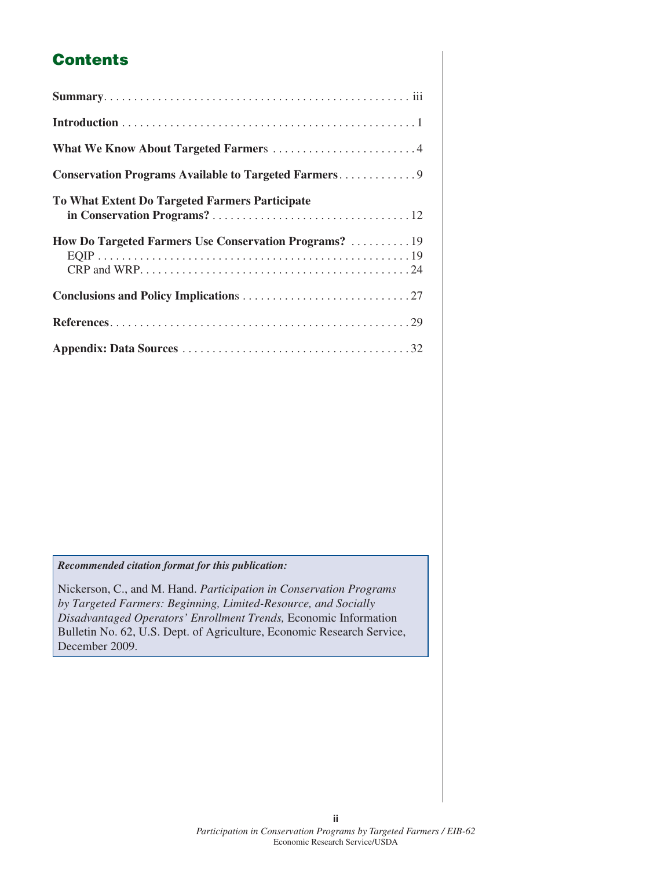# **Contents**

| What We Know About Targeted Farmers 4                  |
|--------------------------------------------------------|
|                                                        |
| <b>To What Extent Do Targeted Farmers Participate</b>  |
| How Do Targeted Farmers Use Conservation Programs?  19 |
|                                                        |
|                                                        |
|                                                        |

#### *Recommended citation format for this publication:*

Nickerson, C., and M. Hand. *Participation in Conservation Programs by Targeted Farmers: Beginning, Limited-Resource, and Socially Disadvantaged Operators' Enrollment Trends,* Economic Information Bulletin No. 62, U.S. Dept. of Agriculture, Economic Research Service, December 2009.

**ii**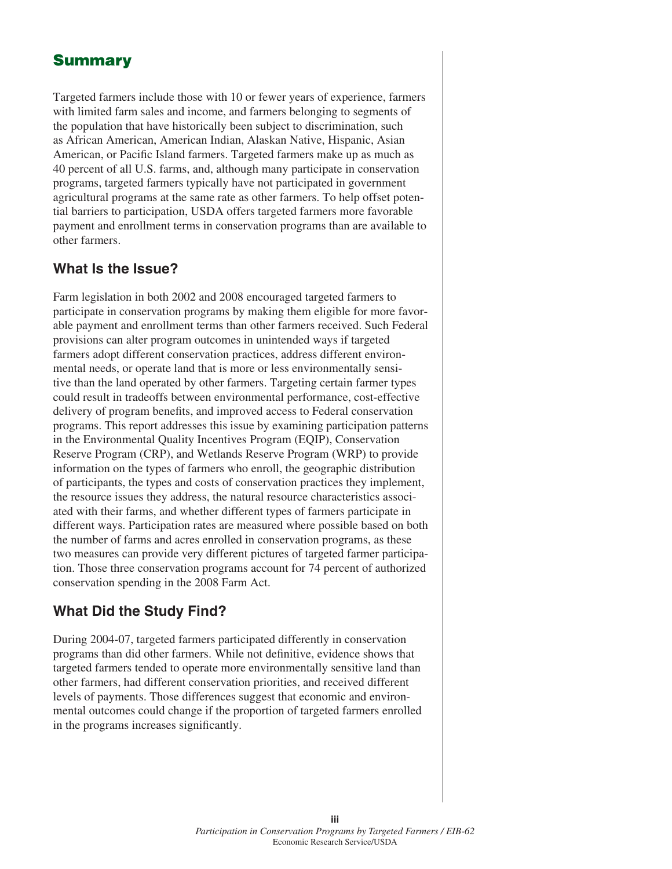# **Summary**

Targeted farmers include those with 10 or fewer years of experience, farmers with limited farm sales and income, and farmers belonging to segments of the population that have historically been subject to discrimination, such as African American, American Indian, Alaskan Native, Hispanic, Asian American, or Pacific Island farmers. Targeted farmers make up as much as 40 percent of all U.S. farms, and, although many participate in conservation programs, targeted farmers typically have not participated in government agricultural programs at the same rate as other farmers. To help offset potential barriers to participation, USDA offers targeted farmers more favorable payment and enrollment terms in conservation programs than are available to other farmers.

### **What Is the Issue?**

Farm legislation in both 2002 and 2008 encouraged targeted farmers to participate in conservation programs by making them eligible for more favorable payment and enrollment terms than other farmers received. Such Federal provisions can alter program outcomes in unintended ways if targeted farmers adopt different conservation practices, address different environmental needs, or operate land that is more or less environmentally sensitive than the land operated by other farmers. Targeting certain farmer types could result in tradeoffs between environmental performance, cost-effective delivery of program benefits, and improved access to Federal conservation programs. This report addresses this issue by examining participation patterns in the Environmental Quality Incentives Program (EQIP), Conservation Reserve Program (CRP), and Wetlands Reserve Program (WRP) to provide information on the types of farmers who enroll, the geographic distribution of participants, the types and costs of conservation practices they implement, the resource issues they address, the natural resource characteristics associated with their farms, and whether different types of farmers participate in different ways. Participation rates are measured where possible based on both the number of farms and acres enrolled in conservation programs, as these two measures can provide very different pictures of targeted farmer participation. Those three conservation programs account for 74 percent of authorized conservation spending in the 2008 Farm Act.

## **What Did the Study Find?**

During 2004-07, targeted farmers participated differently in conservation programs than did other farmers. While not definitive, evidence shows that targeted farmers tended to operate more environmentally sensitive land than other farmers, had different conservation priorities, and received different levels of payments. Those differences suggest that economic and environmental outcomes could change if the proportion of targeted farmers enrolled in the programs increases significantly.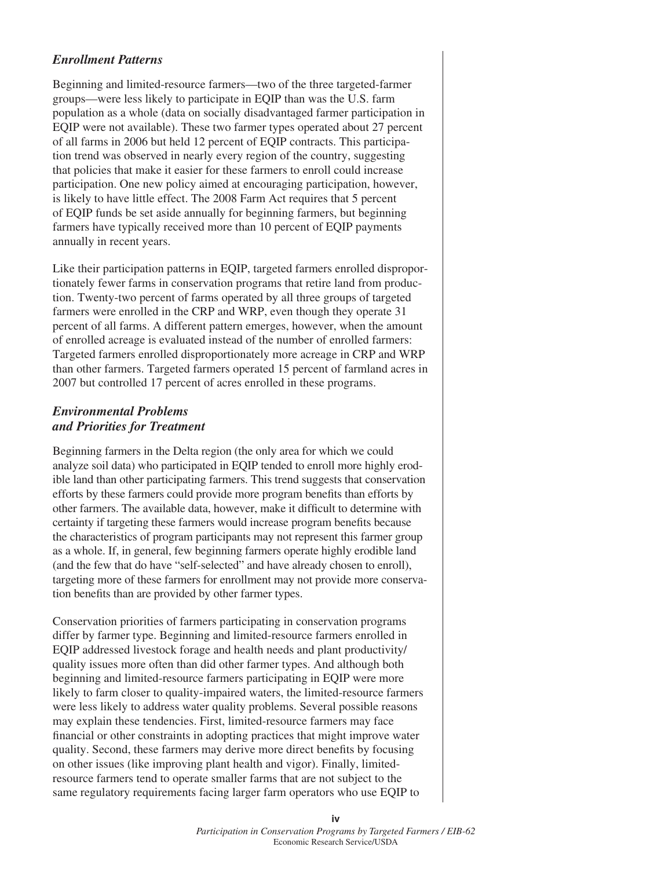#### *Enrollment Patterns*

Beginning and limited-resource farmers—two of the three targeted-farmer groups—were less likely to participate in EQIP than was the U.S. farm population as a whole (data on socially disadvantaged farmer participation in EQIP were not available). These two farmer types operated about 27 percent of all farms in 2006 but held 12 percent of EQIP contracts. This participation trend was observed in nearly every region of the country, suggesting that policies that make it easier for these farmers to enroll could increase participation. One new policy aimed at encouraging participation, however, is likely to have little effect. The 2008 Farm Act requires that 5 percent of EQIP funds be set aside annually for beginning farmers, but beginning farmers have typically received more than 10 percent of EQIP payments annually in recent years.

Like their participation patterns in EQIP, targeted farmers enrolled disproportionately fewer farms in conservation programs that retire land from production. Twenty-two percent of farms operated by all three groups of targeted farmers were enrolled in the CRP and WRP, even though they operate 31 percent of all farms. A different pattern emerges, however, when the amount of enrolled acreage is evaluated instead of the number of enrolled farmers: Targeted farmers enrolled disproportionately more acreage in CRP and WRP than other farmers. Targeted farmers operated 15 percent of farmland acres in 2007 but controlled 17 percent of acres enrolled in these programs.

#### *Environmental Problems and Priorities for Treatment*

Beginning farmers in the Delta region (the only area for which we could analyze soil data) who participated in EQIP tended to enroll more highly erodible land than other participating farmers. This trend suggests that conservation efforts by these farmers could provide more program benefits than efforts by other farmers. The available data, however, make it difficult to determine with certainty if targeting these farmers would increase program benefits because the characteristics of program participants may not represent this farmer group as a whole. If, in general, few beginning farmers operate highly erodible land (and the few that do have "self-selected" and have already chosen to enroll), targeting more of these farmers for enrollment may not provide more conservation benefits than are provided by other farmer types.

Conservation priorities of farmers participating in conservation programs differ by farmer type. Beginning and limited-resource farmers enrolled in EQIP addressed livestock forage and health needs and plant productivity/ quality issues more often than did other farmer types. And although both beginning and limited-resource farmers participating in EQIP were more likely to farm closer to quality-impaired waters, the limited-resource farmers were less likely to address water quality problems. Several possible reasons may explain these tendencies. First, limited-resource farmers may face financial or other constraints in adopting practices that might improve water quality. Second, these farmers may derive more direct benefits by focusing on other issues (like improving plant health and vigor). Finally, limitedresource farmers tend to operate smaller farms that are not subject to the same regulatory requirements facing larger farm operators who use EQIP to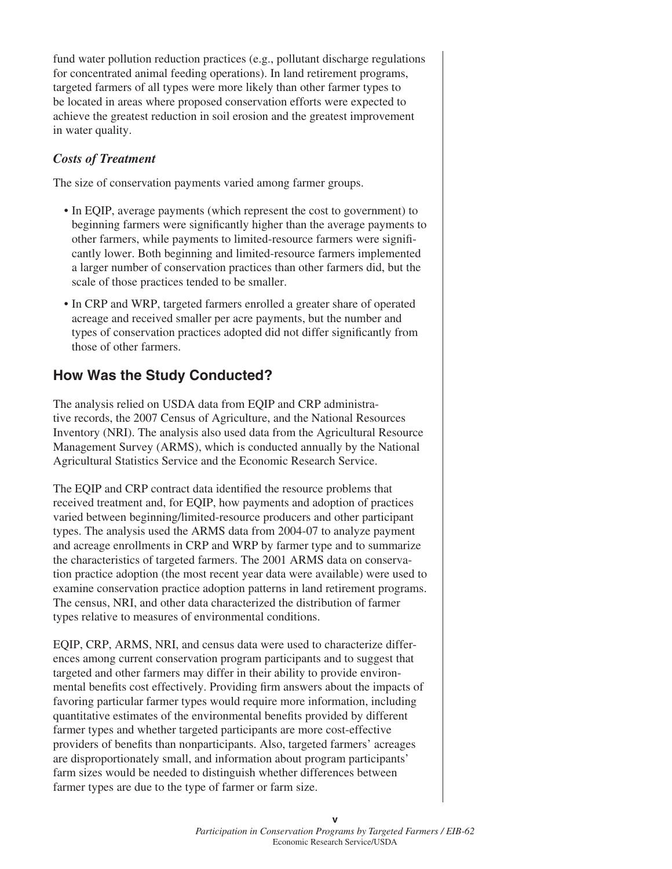fund water pollution reduction practices (e.g., pollutant discharge regulations for concentrated animal feeding operations). In land retirement programs, targeted farmers of all types were more likely than other farmer types to be located in areas where proposed conservation efforts were expected to achieve the greatest reduction in soil erosion and the greatest improvement in water quality.

#### *Costs of Treatment*

The size of conservation payments varied among farmer groups.

- In EQIP, average payments (which represent the cost to government) to beginning farmers were significantly higher than the average payments to other farmers, while payments to limited-resource farmers were signifi cantly lower. Both beginning and limited-resource farmers implemented a larger number of conservation practices than other farmers did, but the scale of those practices tended to be smaller.
- In CRP and WRP, targeted farmers enrolled a greater share of operated acreage and received smaller per acre payments, but the number and types of conservation practices adopted did not differ significantly from those of other farmers.

# **How Was the Study Conducted?**

The analysis relied on USDA data from EQIP and CRP administrative records, the 2007 Census of Agriculture, and the National Resources Inventory (NRI). The analysis also used data from the Agricultural Resource Management Survey (ARMS), which is conducted annually by the National Agricultural Statistics Service and the Economic Research Service.

The EQIP and CRP contract data identified the resource problems that received treatment and, for EQIP, how payments and adoption of practices varied between beginning/limited-resource producers and other participant types. The analysis used the ARMS data from 2004-07 to analyze payment and acreage enrollments in CRP and WRP by farmer type and to summarize the characteristics of targeted farmers. The 2001 ARMS data on conservation practice adoption (the most recent year data were available) were used to examine conservation practice adoption patterns in land retirement programs. The census, NRI, and other data characterized the distribution of farmer types relative to measures of environmental conditions.

EQIP, CRP, ARMS, NRI, and census data were used to characterize differences among current conservation program participants and to suggest that targeted and other farmers may differ in their ability to provide environmental benefits cost effectively. Providing firm answers about the impacts of favoring particular farmer types would require more information, including quantitative estimates of the environmental benefits provided by different farmer types and whether targeted participants are more cost-effective providers of benefits than nonparticipants. Also, targeted farmers' acreages are disproportionately small, and information about program participants' farm sizes would be needed to distinguish whether differences between farmer types are due to the type of farmer or farm size.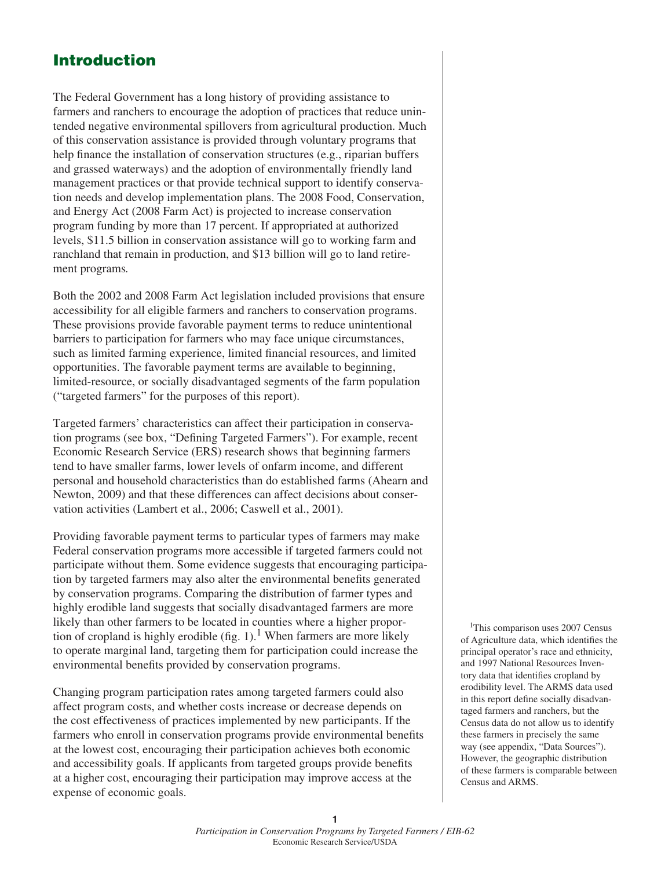# **Introduction**

The Federal Government has a long history of providing assistance to farmers and ranchers to encourage the adoption of practices that reduce unintended negative environmental spillovers from agricultural production. Much of this conservation assistance is provided through voluntary programs that help finance the installation of conservation structures (e.g., riparian buffers and grassed waterways) and the adoption of environmentally friendly land management practices or that provide technical support to identify conservation needs and develop implementation plans. The 2008 Food, Conservation, and Energy Act (2008 Farm Act) is projected to increase conservation program funding by more than 17 percent. If appropriated at authorized levels, \$11.5 billion in conservation assistance will go to working farm and ranchland that remain in production, and \$13 billion will go to land retirement programs*.*

Both the 2002 and 2008 Farm Act legislation included provisions that ensure accessibility for all eligible farmers and ranchers to conservation programs. These provisions provide favorable payment terms to reduce unintentional barriers to participation for farmers who may face unique circumstances, such as limited farming experience, limited financial resources, and limited opportunities. The favorable payment terms are available to beginning, limited-resource, or socially disadvantaged segments of the farm population ("targeted farmers" for the purposes of this report).

Targeted farmers' characteristics can affect their participation in conservation programs (see box, "Defining Targeted Farmers"). For example, recent Economic Research Service (ERS) research shows that beginning farmers tend to have smaller farms, lower levels of onfarm income, and different personal and household characteristics than do established farms (Ahearn and Newton, 2009) and that these differences can affect decisions about conservation activities (Lambert et al., 2006; Caswell et al., 2001).

Providing favorable payment terms to particular types of farmers may make Federal conservation programs more accessible if targeted farmers could not participate without them. Some evidence suggests that encouraging participation by targeted farmers may also alter the environmental benefits generated by conservation programs. Comparing the distribution of farmer types and highly erodible land suggests that socially disadvantaged farmers are more likely than other farmers to be located in counties where a higher proportion of cropland is highly erodible (fig. 1).<sup>1</sup> When farmers are more likely to operate marginal land, targeting them for participation could increase the environmental benefits provided by conservation programs.

Changing program participation rates among targeted farmers could also affect program costs, and whether costs increase or decrease depends on the cost effectiveness of practices implemented by new participants. If the farmers who enroll in conservation programs provide environmental benefits at the lowest cost, encouraging their participation achieves both economic and accessibility goals. If applicants from targeted groups provide benefits at a higher cost, encouraging their participation may improve access at the expense of economic goals.

<sup>1</sup>This comparison uses 2007 Census of Agriculture data, which identifies the principal operator's race and ethnicity, and 1997 National Resources Inventory data that identifies cropland by erodibility level. The ARMS data used in this report define socially disadvantaged farmers and ranchers, but the Census data do not allow us to identify these farmers in precisely the same way (see appendix, "Data Sources"). However, the geographic distribution of these farmers is comparable between Census and ARMS.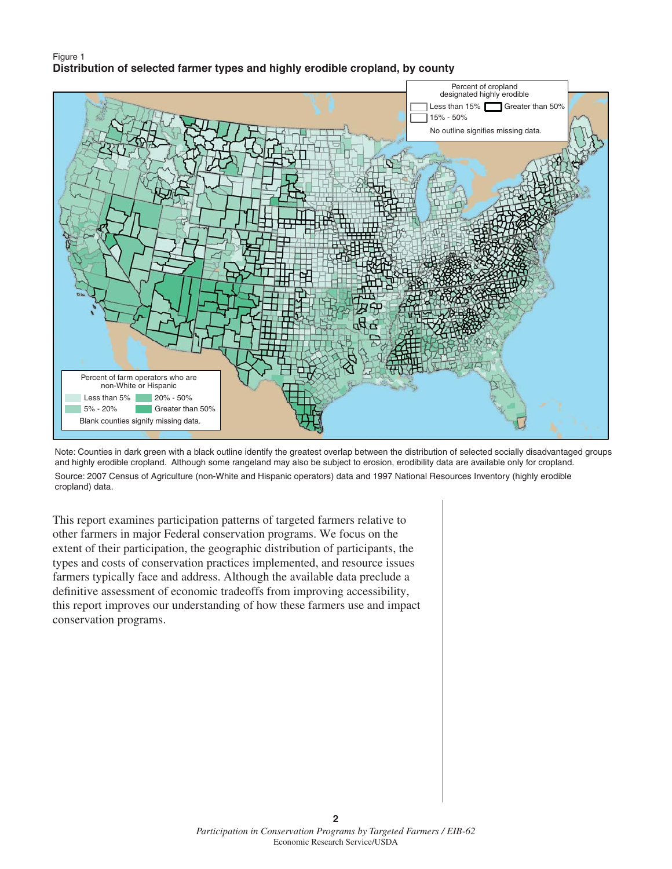#### Figure 1 **Distribution of selected farmer types and highly erodible cropland, by county**



Note: Counties in dark green with a black outline identify the greatest overlap between the distribution of selected socially disadvantaged groups and highly erodible cropland. Although some rangeland may also be subject to erosion, erodibility data are available only for cropland. Source: 2007 Census of Agriculture (non-White and Hispanic operators) data and 1997 National Resources Inventory (highly erodible cropland) data.

This report examines participation patterns of targeted farmers relative to other farmers in major Federal conservation programs. We focus on the extent of their participation, the geographic distribution of participants, the types and costs of conservation practices implemented, and resource issues farmers typically face and address. Although the available data preclude a definitive assessment of economic tradeoffs from improving accessibility, this report improves our understanding of how these farmers use and impact conservation programs.

**2**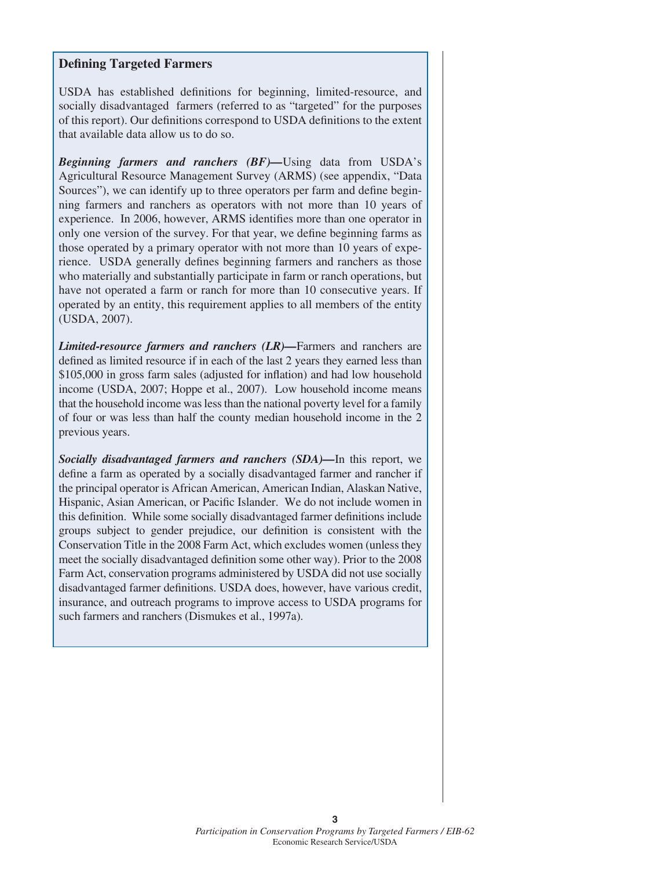#### **Defining Targeted Farmers**

USDA has established definitions for beginning, limited-resource, and socially disadvantaged farmers (referred to as "targeted" for the purposes of this report). Our definitions correspond to USDA definitions to the extent that available data allow us to do so.

*Beginning farmers and ranchers (BF)—*Using data from USDA's Agricultural Resource Management Survey (ARMS) (see appendix, "Data Sources"), we can identify up to three operators per farm and define beginning farmers and ranchers as operators with not more than 10 years of experience. In 2006, however, ARMS identifies more than one operator in only one version of the survey. For that year, we define beginning farms as those operated by a primary operator with not more than 10 years of experience. USDA generally defines beginning farmers and ranchers as those who materially and substantially participate in farm or ranch operations, but have not operated a farm or ranch for more than 10 consecutive years. If operated by an entity, this requirement applies to all members of the entity (USDA, 2007).

*Limited-resource farmers and ranchers (LR)—*Farmers and ranchers are defined as limited resource if in each of the last 2 years they earned less than \$105,000 in gross farm sales (adjusted for inflation) and had low household income (USDA, 2007; Hoppe et al., 2007). Low household income means that the household income was less than the national poverty level for a family of four or was less than half the county median household income in the 2 previous years.

*Socially disadvantaged farmers and ranchers (SDA)—*In this report, we define a farm as operated by a socially disadvantaged farmer and rancher if the principal operator is African American, American Indian, Alaskan Native, Hispanic, Asian American, or Pacific Islander. We do not include women in this definition. While some socially disadvantaged farmer definitions include groups subject to gender prejudice, our definition is consistent with the Conservation Title in the 2008 Farm Act, which excludes women (unless they meet the socially disadvantaged definition some other way). Prior to the 2008 Farm Act, conservation programs administered by USDA did not use socially disadvantaged farmer definitions. USDA does, however, have various credit, insurance, and outreach programs to improve access to USDA programs for such farmers and ranchers (Dismukes et al., 1997a).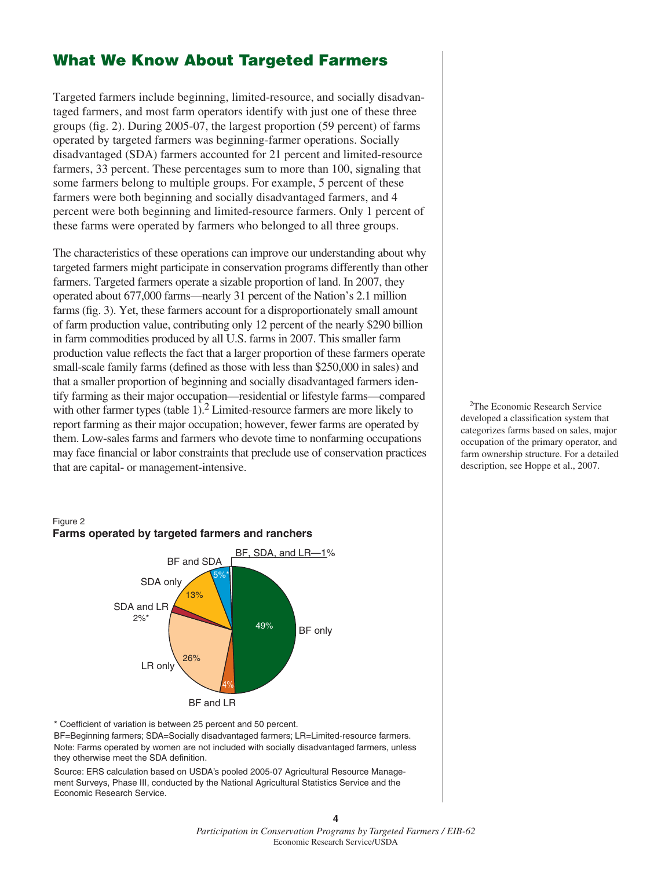## **What We Know About Targeted Farmers**

Targeted farmers include beginning, limited-resource, and socially disadvantaged farmers, and most farm operators identify with just one of these three groups (fig. 2). During  $2005-07$ , the largest proportion (59 percent) of farms operated by targeted farmers was beginning-farmer operations. Socially disadvantaged (SDA) farmers accounted for 21 percent and limited-resource farmers, 33 percent. These percentages sum to more than 100, signaling that some farmers belong to multiple groups. For example, 5 percent of these farmers were both beginning and socially disadvantaged farmers, and 4 percent were both beginning and limited-resource farmers. Only 1 percent of these farms were operated by farmers who belonged to all three groups.

The characteristics of these operations can improve our understanding about why targeted farmers might participate in conservation programs differently than other farmers. Targeted farmers operate a sizable proportion of land. In 2007, they operated about 677,000 farms—nearly 31 percent of the Nation's 2.1 million farms (fig. 3). Yet, these farmers account for a disproportionately small amount of farm production value, contributing only 12 percent of the nearly \$290 billion in farm commodities produced by all U.S. farms in 2007. This smaller farm production value reflects the fact that a larger proportion of these farmers operate small-scale family farms (defined as those with less than \$250,000 in sales) and that a smaller proportion of beginning and socially disadvantaged farmers identify farming as their major occupation—residential or lifestyle farms—compared with other farmer types (table 1).<sup>2</sup> Limited-resource farmers are more likely to report farming as their major occupation; however, fewer farms are operated by them. Low-sales farms and farmers who devote time to nonfarming occupations may face financial or labor constraints that preclude use of conservation practices that are capital- or management-intensive.

2The Economic Research Service developed a classification system that categorizes farms based on sales, major occupation of the primary operator, and farm ownership structure. For a detailed description, see Hoppe et al., 2007.

#### Figure 2



\* Coefficient of variation is between 25 percent and 50 percent.

BF=Beginning farmers; SDA=Socially disadvantaged farmers; LR=Limited-resource farmers. Note: Farms operated by women are not included with socially disadvantaged farmers, unless they otherwise meet the SDA definition.

Source: ERS calculation based on USDA's pooled 2005-07 Agricultural Resource Management Surveys, Phase III, conducted by the National Agricultural Statistics Service and the Economic Research Service.

> *Participation in Conservation Programs by Targeted Farmers / EIB-62* Economic Research Service/USDA

**4**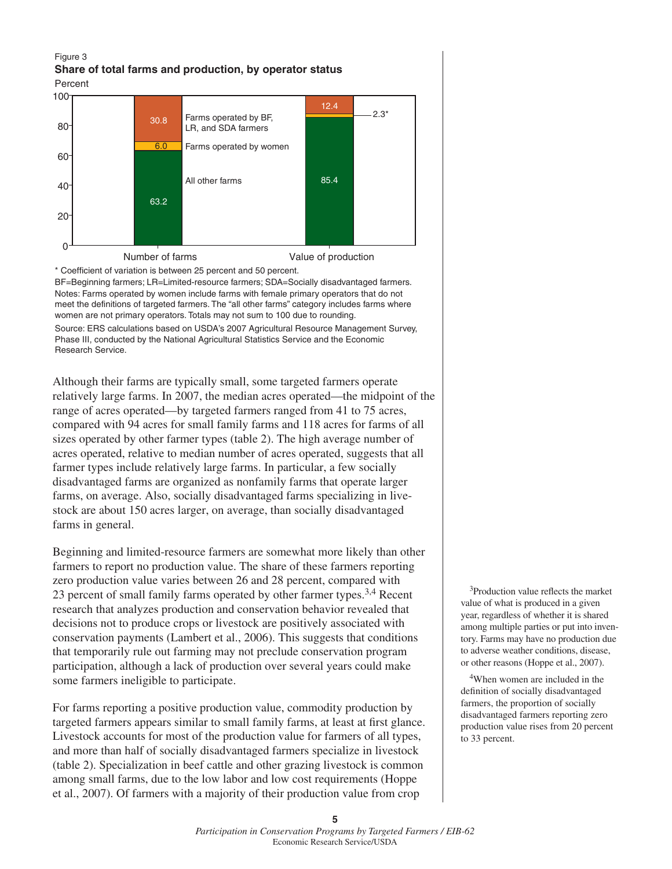#### Figure 3 **Share of total farms and production, by operator status** Percent



\* Coefficient of variation is between 25 percent and 50 percent.

BF=Beginning farmers; LR=Limited-resource farmers; SDA=Socially disadvantaged farmers. Notes: Farms operated by women include farms with female primary operators that do not meet the definitions of targeted farmers. The "all other farms" category includes farms where women are not primary operators. Totals may not sum to 100 due to rounding. Source: ERS calculations based on USDA's 2007 Agricultural Resource Management Survey,

Phase III, conducted by the National Agricultural Statistics Service and the Economic Research Service.

Although their farms are typically small, some targeted farmers operate relatively large farms. In 2007, the median acres operated—the midpoint of the range of acres operated—by targeted farmers ranged from 41 to 75 acres, compared with 94 acres for small family farms and 118 acres for farms of all sizes operated by other farmer types (table 2). The high average number of acres operated, relative to median number of acres operated, suggests that all farmer types include relatively large farms. In particular, a few socially disadvantaged farms are organized as nonfamily farms that operate larger farms, on average. Also, socially disadvantaged farms specializing in livestock are about 150 acres larger, on average, than socially disadvantaged farms in general.

Beginning and limited-resource farmers are somewhat more likely than other farmers to report no production value. The share of these farmers reporting zero production value varies between 26 and 28 percent, compared with 23 percent of small family farms operated by other farmer types.<sup>3,4</sup> Recent research that analyzes production and conservation behavior revealed that decisions not to produce crops or livestock are positively associated with conservation payments (Lambert et al., 2006). This suggests that conditions that temporarily rule out farming may not preclude conservation program participation, although a lack of production over several years could make some farmers ineligible to participate.

For farms reporting a positive production value, commodity production by targeted farmers appears similar to small family farms, at least at first glance. Livestock accounts for most of the production value for farmers of all types, and more than half of socially disadvantaged farmers specialize in livestock (table 2). Specialization in beef cattle and other grazing livestock is common among small farms, due to the low labor and low cost requirements (Hoppe et al., 2007). Of farmers with a majority of their production value from crop

<sup>3</sup>Production value reflects the market value of what is produced in a given year, regardless of whether it is shared among multiple parties or put into inventory. Farms may have no production due to adverse weather conditions, disease, or other reasons (Hoppe et al., 2007).

4When women are included in the definition of socially disadvantaged farmers, the proportion of socially disadvantaged farmers reporting zero production value rises from 20 percent to 33 percent.

**<sup>5</sup>** *Participation in Conservation Programs by Targeted Farmers / EIB-62* Economic Research Service/USDA